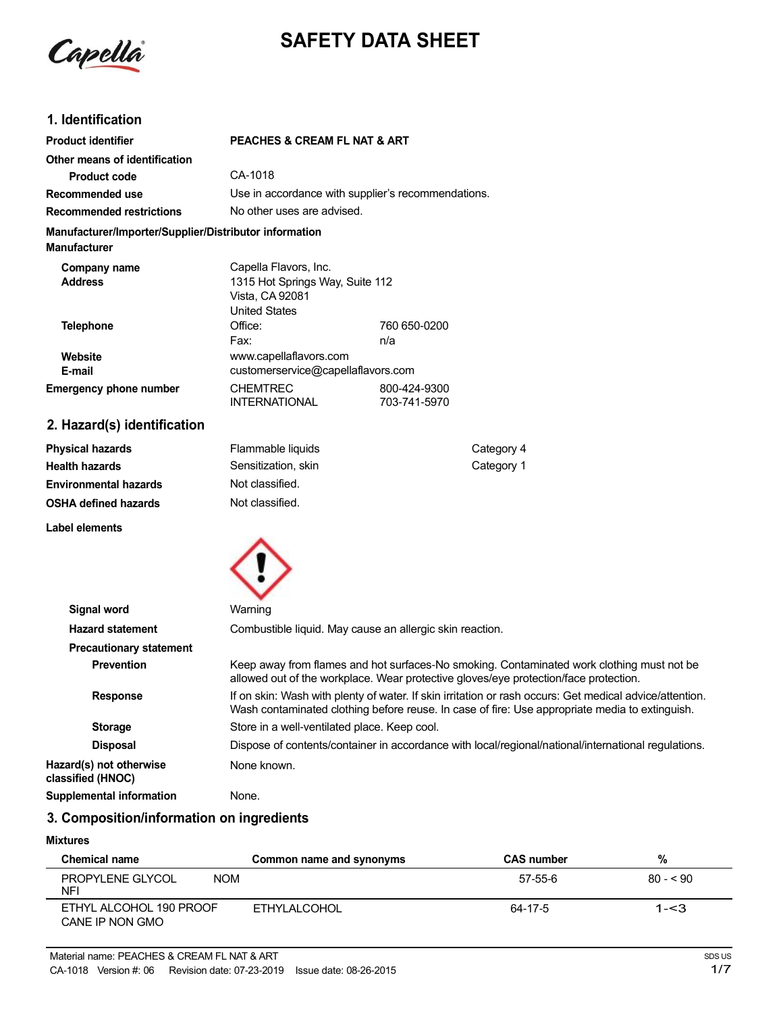Capella

# **SAFETY DATA SHEET**

# **1. Identification**

| <b>Product identifier</b>                                                     | <b>PEACHES &amp; CREAM FL NAT &amp; ART</b>                                                         |                              |
|-------------------------------------------------------------------------------|-----------------------------------------------------------------------------------------------------|------------------------------|
| Other means of identification                                                 |                                                                                                     |                              |
| Product code                                                                  | CA-1018                                                                                             |                              |
| Recommended use                                                               | Use in accordance with supplier's recommendations.                                                  |                              |
| <b>Recommended restrictions</b>                                               | No other uses are advised.                                                                          |                              |
| Manufacturer/Importer/Supplier/Distributor information<br><b>Manufacturer</b> |                                                                                                     |                              |
| Company name<br><b>Address</b>                                                | Capella Flavors, Inc.<br>1315 Hot Springs Way, Suite 112<br>Vista, CA 92081<br><b>United States</b> |                              |
| <b>Telephone</b>                                                              | Office:<br>Fax:                                                                                     | 760 650-0200<br>n/a          |
| Website<br>E-mail                                                             | www.capellaflavors.com<br>customerservice@capellaflavors.com                                        |                              |
| <b>Emergency phone number</b>                                                 | <b>CHEMTREC</b><br><b>INTERNATIONAL</b>                                                             | 800-424-9300<br>703-741-5970 |
| 2. Hazard(s) identification                                                   |                                                                                                     |                              |

| Physical hazards             | Flammable liquids   | Category 4 |
|------------------------------|---------------------|------------|
| Health hazards               | Sensitization, skin | Category 1 |
| <b>Environmental hazards</b> | Not classified.     |            |
| OSHA defined hazards         | Not classified.     |            |
|                              |                     |            |

**Label elements**



| <b>Signal word</b>                           | Warning                                                                                                                                                                                                   |
|----------------------------------------------|-----------------------------------------------------------------------------------------------------------------------------------------------------------------------------------------------------------|
| <b>Hazard statement</b>                      | Combustible liquid. May cause an allergic skin reaction.                                                                                                                                                  |
| <b>Precautionary statement</b>               |                                                                                                                                                                                                           |
| <b>Prevention</b>                            | Keep away from flames and hot surfaces-No smoking. Contaminated work clothing must not be<br>allowed out of the workplace. Wear protective gloves/eye protection/face protection.                         |
| <b>Response</b>                              | If on skin: Wash with plenty of water. If skin irritation or rash occurs: Get medical advice/attention.<br>Wash contaminated clothing before reuse. In case of fire: Use appropriate media to extinguish. |
| <b>Storage</b>                               | Store in a well-ventilated place. Keep cool.                                                                                                                                                              |
| <b>Disposal</b>                              | Dispose of contents/container in accordance with local/regional/national/international regulations.                                                                                                       |
| Hazard(s) not otherwise<br>classified (HNOC) | None known.                                                                                                                                                                                               |
| Supplemental information                     | None.                                                                                                                                                                                                     |

# **3. Composition/information on ingredients**

#### **Mixtures**

| <b>Chemical name</b>                                | Common name and synonyms | <b>CAS number</b> | %         |
|-----------------------------------------------------|--------------------------|-------------------|-----------|
| <b>PROPYLENE GLYCOL</b><br><b>NOM</b><br><b>NFI</b> |                          | 57-55-6           | $80 - 90$ |
| ETHYL ALCOHOL 190 PROOF<br>CANE IP NON GMO          | ETHYLALCOHOL             | 64-17-5           | $1 - 3$   |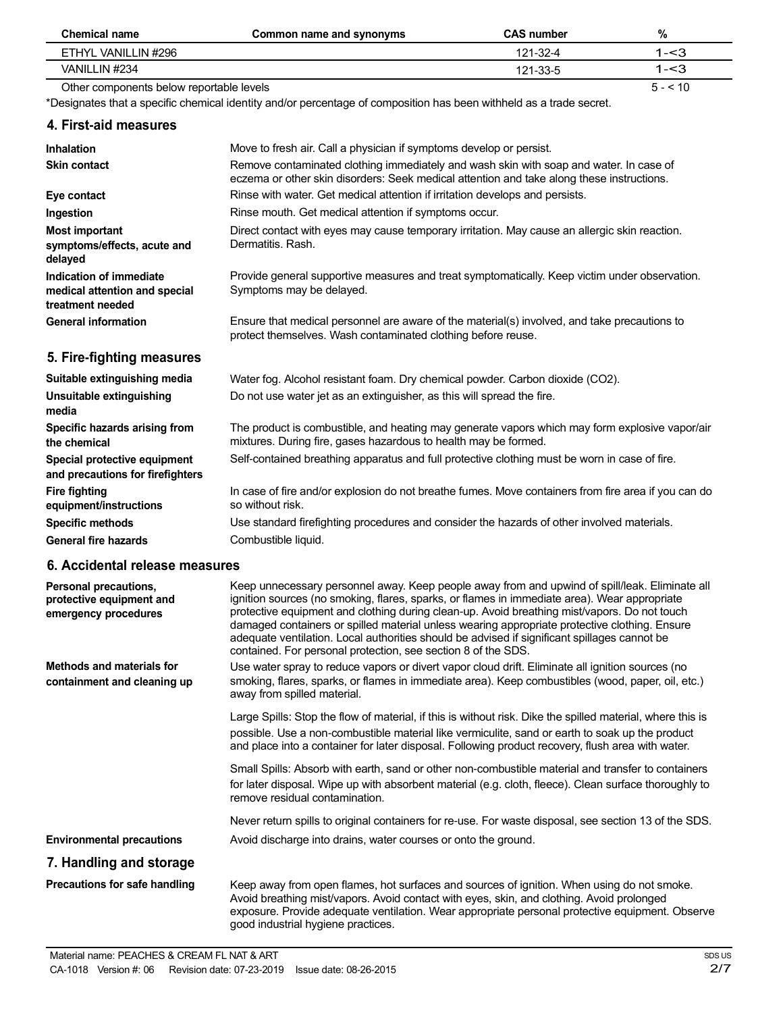| <b>Chemical name</b>                                                         | Common name and synonyms                                                                                                                                                                                                                                                                                                                                                                                                                                                                                                                                         | <b>CAS number</b> | $\%$     |
|------------------------------------------------------------------------------|------------------------------------------------------------------------------------------------------------------------------------------------------------------------------------------------------------------------------------------------------------------------------------------------------------------------------------------------------------------------------------------------------------------------------------------------------------------------------------------------------------------------------------------------------------------|-------------------|----------|
| ETHYL VANILLIN #296                                                          |                                                                                                                                                                                                                                                                                                                                                                                                                                                                                                                                                                  | 121-32-4          | $1 - 3$  |
| VANILLIN #234                                                                |                                                                                                                                                                                                                                                                                                                                                                                                                                                                                                                                                                  | 121-33-5          | $1 - 3$  |
| Other components below reportable levels                                     |                                                                                                                                                                                                                                                                                                                                                                                                                                                                                                                                                                  |                   | $5 - 10$ |
|                                                                              | *Designates that a specific chemical identity and/or percentage of composition has been withheld as a trade secret.                                                                                                                                                                                                                                                                                                                                                                                                                                              |                   |          |
| 4. First-aid measures                                                        |                                                                                                                                                                                                                                                                                                                                                                                                                                                                                                                                                                  |                   |          |
| <b>Inhalation</b>                                                            | Move to fresh air. Call a physician if symptoms develop or persist.                                                                                                                                                                                                                                                                                                                                                                                                                                                                                              |                   |          |
| <b>Skin contact</b>                                                          | Remove contaminated clothing immediately and wash skin with soap and water. In case of<br>eczema or other skin disorders: Seek medical attention and take along these instructions.                                                                                                                                                                                                                                                                                                                                                                              |                   |          |
| Eye contact                                                                  | Rinse with water. Get medical attention if irritation develops and persists.                                                                                                                                                                                                                                                                                                                                                                                                                                                                                     |                   |          |
| Ingestion                                                                    | Rinse mouth. Get medical attention if symptoms occur.                                                                                                                                                                                                                                                                                                                                                                                                                                                                                                            |                   |          |
| <b>Most important</b><br>symptoms/effects, acute and<br>delayed              | Direct contact with eyes may cause temporary irritation. May cause an allergic skin reaction.<br>Dermatitis, Rash.                                                                                                                                                                                                                                                                                                                                                                                                                                               |                   |          |
| Indication of immediate<br>medical attention and special<br>treatment needed | Provide general supportive measures and treat symptomatically. Keep victim under observation.<br>Symptoms may be delayed.                                                                                                                                                                                                                                                                                                                                                                                                                                        |                   |          |
| <b>General information</b>                                                   | Ensure that medical personnel are aware of the material(s) involved, and take precautions to<br>protect themselves. Wash contaminated clothing before reuse.                                                                                                                                                                                                                                                                                                                                                                                                     |                   |          |
| 5. Fire-fighting measures                                                    |                                                                                                                                                                                                                                                                                                                                                                                                                                                                                                                                                                  |                   |          |
| Suitable extinguishing media                                                 | Water fog. Alcohol resistant foam. Dry chemical powder. Carbon dioxide (CO2).                                                                                                                                                                                                                                                                                                                                                                                                                                                                                    |                   |          |
| Unsuitable extinguishing<br>media                                            | Do not use water jet as an extinguisher, as this will spread the fire.                                                                                                                                                                                                                                                                                                                                                                                                                                                                                           |                   |          |
| Specific hazards arising from<br>the chemical                                | The product is combustible, and heating may generate vapors which may form explosive vapor/air<br>mixtures. During fire, gases hazardous to health may be formed.                                                                                                                                                                                                                                                                                                                                                                                                |                   |          |
| Special protective equipment<br>and precautions for firefighters             | Self-contained breathing apparatus and full protective clothing must be worn in case of fire.                                                                                                                                                                                                                                                                                                                                                                                                                                                                    |                   |          |
| <b>Fire fighting</b><br>equipment/instructions                               | In case of fire and/or explosion do not breathe fumes. Move containers from fire area if you can do<br>so without risk.                                                                                                                                                                                                                                                                                                                                                                                                                                          |                   |          |
| <b>Specific methods</b>                                                      | Use standard firefighting procedures and consider the hazards of other involved materials.                                                                                                                                                                                                                                                                                                                                                                                                                                                                       |                   |          |
| <b>General fire hazards</b>                                                  | Combustible liquid.                                                                                                                                                                                                                                                                                                                                                                                                                                                                                                                                              |                   |          |
| 6. Accidental release measures                                               |                                                                                                                                                                                                                                                                                                                                                                                                                                                                                                                                                                  |                   |          |
| Personal precautions,<br>protective equipment and<br>emergency procedures    | Keep unnecessary personnel away. Keep people away from and upwind of spill/leak. Eliminate all<br>ignition sources (no smoking, flares, sparks, or flames in immediate area). Wear appropriate<br>protective equipment and clothing during clean-up. Avoid breathing mist/vapors. Do not touch<br>damaged containers or spilled material unless wearing appropriate protective clothing. Ensure<br>adequate ventilation. Local authorities should be advised if significant spillages cannot be<br>contained. For personal protection, see section 8 of the SDS. |                   |          |
| <b>Methods and materials for</b><br>containment and cleaning up              | Use water spray to reduce vapors or divert vapor cloud drift. Eliminate all ignition sources (no<br>smoking, flares, sparks, or flames in immediate area). Keep combustibles (wood, paper, oil, etc.)<br>away from spilled material.                                                                                                                                                                                                                                                                                                                             |                   |          |
|                                                                              | Large Spills: Stop the flow of material, if this is without risk. Dike the spilled material, where this is<br>possible. Use a non-combustible material like vermiculite, sand or earth to soak up the product<br>and place into a container for later disposal. Following product recovery, flush area with water.                                                                                                                                                                                                                                               |                   |          |
|                                                                              | Small Spills: Absorb with earth, sand or other non-combustible material and transfer to containers<br>for later disposal. Wipe up with absorbent material (e.g. cloth, fleece). Clean surface thoroughly to<br>remove residual contamination.                                                                                                                                                                                                                                                                                                                    |                   |          |
|                                                                              | Never return spills to original containers for re-use. For waste disposal, see section 13 of the SDS.                                                                                                                                                                                                                                                                                                                                                                                                                                                            |                   |          |
| <b>Environmental precautions</b>                                             | Avoid discharge into drains, water courses or onto the ground.                                                                                                                                                                                                                                                                                                                                                                                                                                                                                                   |                   |          |

# **7. Handling and storage**

**Precautions for safe handling**

Keep away from open flames, hot surfaces and sources of ignition. When using do not smoke. Avoid breathing mist/vapors. Avoid contact with eyes, skin, and clothing. Avoid prolonged exposure. Provide adequate ventilation. Wear appropriate personal protective equipment. Observe good industrial hygiene practices.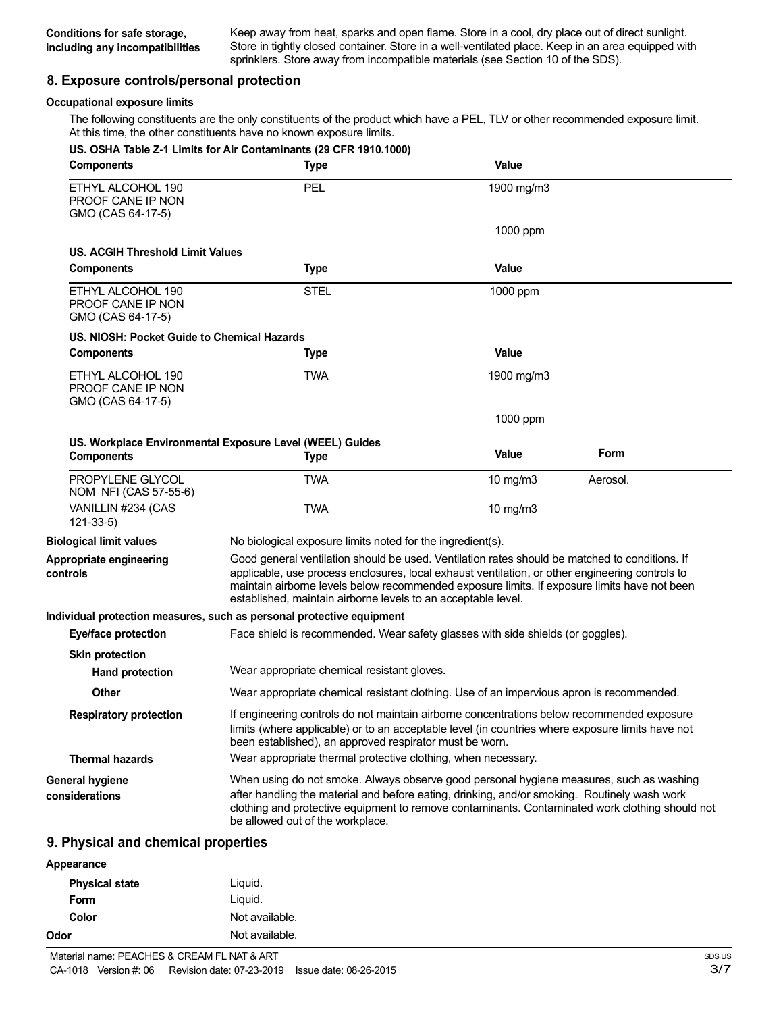Keep away from heat, sparks and open flame. Store in a cool, dry place out of direct sunlight. Store in tightly closed container. Store in a well-ventilated place. Keep in an area equipped with sprinklers. Store away from incompatible materials (see Section 10 of the SDS).

#### **8. Exposure controls/personal protection**

#### **Occupational exposure limits**

The following constituents are the only constituents of the product which have a PEL, TLV or other recommended exposure limit. At this time, the other constituents have no known exposure limits.

| <b>Components</b>                                           | US. OSHA Table Z-1 Limits for Air Contaminants (29 CFR 1910.1000)<br><b>Type</b>                                                                                                                                                                                                                                                                                   | Value      |          |
|-------------------------------------------------------------|--------------------------------------------------------------------------------------------------------------------------------------------------------------------------------------------------------------------------------------------------------------------------------------------------------------------------------------------------------------------|------------|----------|
| ETHYL ALCOHOL 190<br>PROOF CANE IP NON<br>GMO (CAS 64-17-5) | PEL                                                                                                                                                                                                                                                                                                                                                                | 1900 mg/m3 |          |
|                                                             |                                                                                                                                                                                                                                                                                                                                                                    | 1000 ppm   |          |
| US. ACGIH Threshold Limit Values                            |                                                                                                                                                                                                                                                                                                                                                                    |            |          |
| <b>Components</b>                                           | <b>Type</b>                                                                                                                                                                                                                                                                                                                                                        | Value      |          |
| ETHYL ALCOHOL 190<br>PROOF CANE IP NON<br>GMO (CAS 64-17-5) | <b>STEL</b>                                                                                                                                                                                                                                                                                                                                                        | 1000 ppm   |          |
| US. NIOSH: Pocket Guide to Chemical Hazards                 |                                                                                                                                                                                                                                                                                                                                                                    |            |          |
| <b>Components</b>                                           | <b>Type</b>                                                                                                                                                                                                                                                                                                                                                        | Value      |          |
| ETHYL ALCOHOL 190<br>PROOF CANE IP NON<br>GMO (CAS 64-17-5) | <b>TWA</b>                                                                                                                                                                                                                                                                                                                                                         | 1900 mg/m3 |          |
|                                                             |                                                                                                                                                                                                                                                                                                                                                                    | 1000 ppm   |          |
| <b>Components</b>                                           | US. Workplace Environmental Exposure Level (WEEL) Guides<br><b>Type</b>                                                                                                                                                                                                                                                                                            | Value      | Form     |
| PROPYLENE GLYCOL<br>NOM NFI (CAS 57-55-6)                   | <b>TWA</b>                                                                                                                                                                                                                                                                                                                                                         | 10 mg/m3   | Aerosol. |
| VANILLIN #234 (CAS<br>$121 - 33 - 5$                        | <b>TWA</b>                                                                                                                                                                                                                                                                                                                                                         | 10 $mg/m3$ |          |
| <b>Biological limit values</b>                              | No biological exposure limits noted for the ingredient(s).                                                                                                                                                                                                                                                                                                         |            |          |
| Appropriate engineering<br>controls                         | Good general ventilation should be used. Ventilation rates should be matched to conditions. If<br>applicable, use process enclosures, local exhaust ventilation, or other engineering controls to<br>maintain airborne levels below recommended exposure limits. If exposure limits have not been<br>established, maintain airborne levels to an acceptable level. |            |          |
|                                                             | Individual protection measures, such as personal protective equipment                                                                                                                                                                                                                                                                                              |            |          |
| Eye/face protection                                         | Face shield is recommended. Wear safety glasses with side shields (or goggles).                                                                                                                                                                                                                                                                                    |            |          |
| <b>Skin protection</b><br><b>Hand protection</b>            | Wear appropriate chemical resistant gloves.                                                                                                                                                                                                                                                                                                                        |            |          |
| Other                                                       | Wear appropriate chemical resistant clothing. Use of an impervious apron is recommended.                                                                                                                                                                                                                                                                           |            |          |
| <b>Respiratory protection</b>                               | If engineering controls do not maintain airborne concentrations below recommended exposure<br>limits (where applicable) or to an acceptable level (in countries where exposure limits have not<br>been established), an approved respirator must be worn.                                                                                                          |            |          |
| <b>Thermal hazards</b>                                      | Wear appropriate thermal protective clothing, when necessary.                                                                                                                                                                                                                                                                                                      |            |          |
| General hygiene<br>considerations                           | When using do not smoke. Always observe good personal hygiene measures, such as washing<br>after handling the material and before eating, drinking, and/or smoking. Routinely wash work<br>clothing and protective equipment to remove contaminants. Contaminated work clothing should not<br>be allowed out of the workplace.                                     |            |          |

### **9. Physical and chemical properties**

| Appearance            |                |  |
|-----------------------|----------------|--|
| <b>Physical state</b> | Liquid.        |  |
| Form                  | Liquid.        |  |
| Color                 | Not available. |  |
| Odor                  | Not available. |  |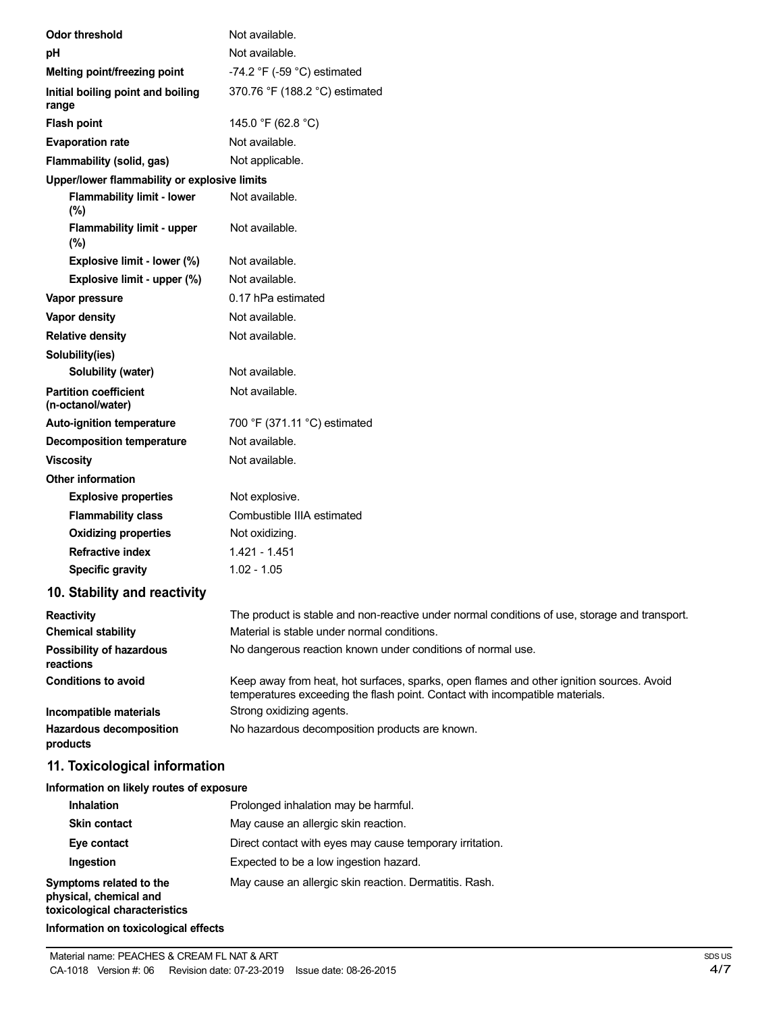| <b>Odor threshold</b>                             | Not available.                                                                                                                                                           |
|---------------------------------------------------|--------------------------------------------------------------------------------------------------------------------------------------------------------------------------|
| рH                                                | Not available.                                                                                                                                                           |
| Melting point/freezing point                      | -74.2 $\degree$ F (-59 $\degree$ C) estimated                                                                                                                            |
| Initial boiling point and boiling<br>range        | 370.76 °F (188.2 °C) estimated                                                                                                                                           |
| <b>Flash point</b>                                | 145.0 °F (62.8 °C)                                                                                                                                                       |
| <b>Evaporation rate</b>                           | Not available.                                                                                                                                                           |
| Flammability (solid, gas)                         | Not applicable.                                                                                                                                                          |
| Upper/lower flammability or explosive limits      |                                                                                                                                                                          |
| <b>Flammability limit - lower</b><br>$(\%)$       | Not available.                                                                                                                                                           |
| <b>Flammability limit - upper</b><br>(%)          | Not available.                                                                                                                                                           |
| Explosive limit - lower (%)                       | Not available.                                                                                                                                                           |
| Explosive limit - upper (%)                       | Not available.                                                                                                                                                           |
| Vapor pressure                                    | 0.17 hPa estimated                                                                                                                                                       |
| Vapor density                                     | Not available.                                                                                                                                                           |
| <b>Relative density</b>                           | Not available.                                                                                                                                                           |
| Solubility(ies)                                   |                                                                                                                                                                          |
| Solubility (water)                                | Not available.                                                                                                                                                           |
| <b>Partition coefficient</b><br>(n-octanol/water) | Not available.                                                                                                                                                           |
| Auto-ignition temperature                         | 700 °F (371.11 °C) estimated                                                                                                                                             |
| <b>Decomposition temperature</b>                  | Not available.                                                                                                                                                           |
| <b>Viscosity</b>                                  | Not available.                                                                                                                                                           |
| <b>Other information</b>                          |                                                                                                                                                                          |
| <b>Explosive properties</b>                       | Not explosive.                                                                                                                                                           |
| <b>Flammability class</b>                         | Combustible IIIA estimated                                                                                                                                               |
| <b>Oxidizing properties</b>                       | Not oxidizing.                                                                                                                                                           |
| <b>Refractive index</b>                           | 1.421 - 1.451                                                                                                                                                            |
| <b>Specific gravity</b>                           | $1.02 - 1.05$                                                                                                                                                            |
| 10. Stability and reactivity                      |                                                                                                                                                                          |
| <b>Reactivity</b>                                 | The product is stable and non-reactive under normal conditions of use, storage and transport.                                                                            |
| <b>Chemical stability</b>                         | Material is stable under normal conditions.                                                                                                                              |
| Possibility of hazardous<br>reactions             | No dangerous reaction known under conditions of normal use.                                                                                                              |
| <b>Conditions to avoid</b>                        | Keep away from heat, hot surfaces, sparks, open flames and other ignition sources. Avoid<br>temperatures exceeding the flash point. Contact with incompatible materials. |
| Incompatible materials                            | Strong oxidizing agents.                                                                                                                                                 |
| <b>Hazardous decomposition</b><br>products        | No hazardous decomposition products are known.                                                                                                                           |
| 11. Toxicological information                     |                                                                                                                                                                          |
| Information on likely routes of exposure          |                                                                                                                                                                          |
| Inhalation                                        | Prolonged inhalation may be harmful.                                                                                                                                     |
| <b>Skin contact</b>                               | May cause an allergic skin reaction.                                                                                                                                     |
| Eye contact                                       | Direct contact with eyes may cause temporary irritation.                                                                                                                 |
| Ingestion                                         | Expected to be a low ingestion hazard.                                                                                                                                   |

**Symptoms related to the** May cause an allergic skin reaction. Dermatitis. Rash. **physical, chemical and toxicological characteristics**

**Information on toxicological effects**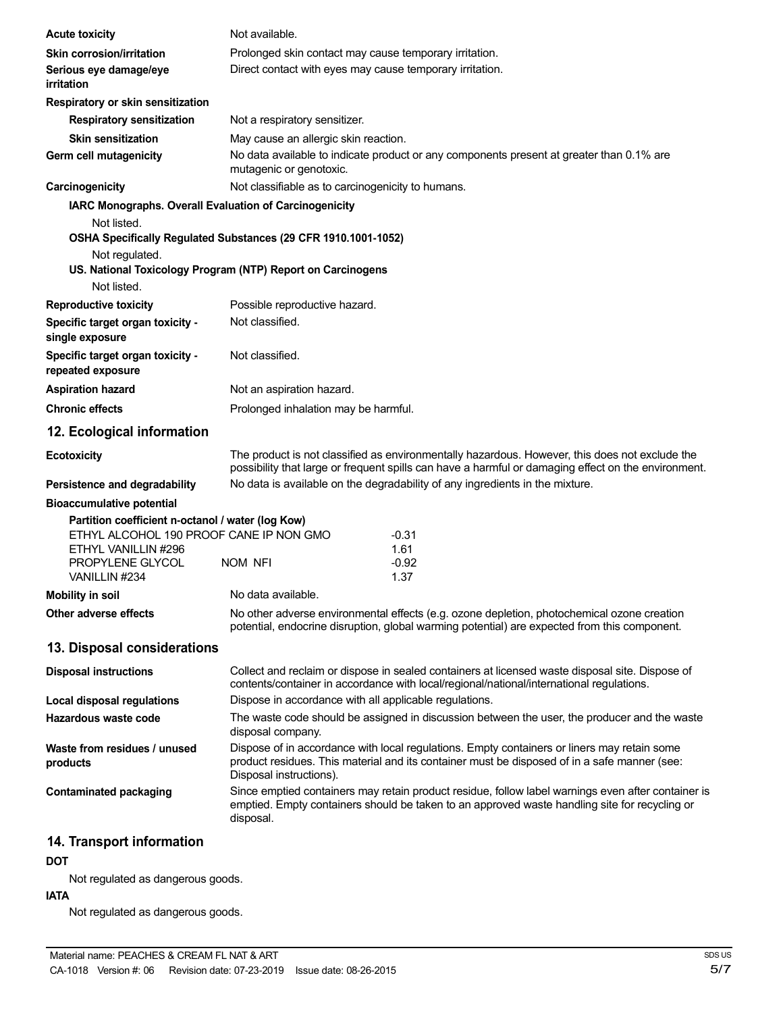| <b>Acute toxicity</b>                                                                                               | Not available.                                                 |                                                                                                                                                                                                       |
|---------------------------------------------------------------------------------------------------------------------|----------------------------------------------------------------|-------------------------------------------------------------------------------------------------------------------------------------------------------------------------------------------------------|
| <b>Skin corrosion/irritation</b>                                                                                    | Prolonged skin contact may cause temporary irritation.         |                                                                                                                                                                                                       |
| Serious eye damage/eye<br><i>irritation</i>                                                                         | Direct contact with eyes may cause temporary irritation.       |                                                                                                                                                                                                       |
| Respiratory or skin sensitization                                                                                   |                                                                |                                                                                                                                                                                                       |
| <b>Respiratory sensitization</b>                                                                                    | Not a respiratory sensitizer.                                  |                                                                                                                                                                                                       |
| <b>Skin sensitization</b>                                                                                           | May cause an allergic skin reaction.                           |                                                                                                                                                                                                       |
| Germ cell mutagenicity                                                                                              | mutagenic or genotoxic.                                        | No data available to indicate product or any components present at greater than 0.1% are                                                                                                              |
| Carcinogenicity                                                                                                     | Not classifiable as to carcinogenicity to humans.              |                                                                                                                                                                                                       |
| IARC Monographs. Overall Evaluation of Carcinogenicity                                                              |                                                                |                                                                                                                                                                                                       |
| Not listed.                                                                                                         |                                                                |                                                                                                                                                                                                       |
|                                                                                                                     | OSHA Specifically Regulated Substances (29 CFR 1910.1001-1052) |                                                                                                                                                                                                       |
| Not regulated.                                                                                                      |                                                                |                                                                                                                                                                                                       |
| Not listed.                                                                                                         | US. National Toxicology Program (NTP) Report on Carcinogens    |                                                                                                                                                                                                       |
|                                                                                                                     |                                                                |                                                                                                                                                                                                       |
| <b>Reproductive toxicity</b>                                                                                        | Possible reproductive hazard.<br>Not classified.               |                                                                                                                                                                                                       |
| Specific target organ toxicity -<br>single exposure                                                                 |                                                                |                                                                                                                                                                                                       |
| Specific target organ toxicity -<br>repeated exposure                                                               | Not classified.                                                |                                                                                                                                                                                                       |
| <b>Aspiration hazard</b>                                                                                            | Not an aspiration hazard.                                      |                                                                                                                                                                                                       |
| <b>Chronic effects</b>                                                                                              | Prolonged inhalation may be harmful.                           |                                                                                                                                                                                                       |
| 12. Ecological information                                                                                          |                                                                |                                                                                                                                                                                                       |
| <b>Ecotoxicity</b>                                                                                                  |                                                                | The product is not classified as environmentally hazardous. However, this does not exclude the<br>possibility that large or frequent spills can have a harmful or damaging effect on the environment. |
| Persistence and degradability                                                                                       |                                                                | No data is available on the degradability of any ingredients in the mixture.                                                                                                                          |
| <b>Bioaccumulative potential</b>                                                                                    |                                                                |                                                                                                                                                                                                       |
| Partition coefficient n-octanol / water (log Kow)<br>ETHYL ALCOHOL 190 PROOF CANE IP NON GMO<br>ETHYL VANILLIN #296 |                                                                | $-0.31$<br>1.61                                                                                                                                                                                       |
| PROPYLENE GLYCOL                                                                                                    | <b>NOM NFI</b>                                                 | $-0.92$                                                                                                                                                                                               |
| VANILLIN #234                                                                                                       |                                                                | 1.37                                                                                                                                                                                                  |
| Mobility in soil                                                                                                    | No data available.                                             |                                                                                                                                                                                                       |
| Other adverse effects                                                                                               |                                                                | No other adverse environmental effects (e.g. ozone depletion, photochemical ozone creation<br>potential, endocrine disruption, global warming potential) are expected from this component.            |
| 13. Disposal considerations                                                                                         |                                                                |                                                                                                                                                                                                       |
| <b>Disposal instructions</b>                                                                                        |                                                                | Collect and reclaim or dispose in sealed containers at licensed waste disposal site. Dispose of<br>contents/container in accordance with local/regional/national/international regulations.           |
| Local disposal regulations                                                                                          | Dispose in accordance with all applicable regulations.         |                                                                                                                                                                                                       |
| Hazardous waste code                                                                                                | disposal company.                                              | The waste code should be assigned in discussion between the user, the producer and the waste                                                                                                          |
| Waste from residues / unused<br>products                                                                            | Disposal instructions).                                        | Dispose of in accordance with local regulations. Empty containers or liners may retain some<br>product residues. This material and its container must be disposed of in a safe manner (see:           |
| <b>Contaminated packaging</b>                                                                                       | disposal.                                                      | Since emptied containers may retain product residue, follow label warnings even after container is<br>emptied. Empty containers should be taken to an approved waste handling site for recycling or   |
| 14. Transport information                                                                                           |                                                                |                                                                                                                                                                                                       |

**DOT**

Not regulated as dangerous goods.

#### **IATA**

Not regulated as dangerous goods.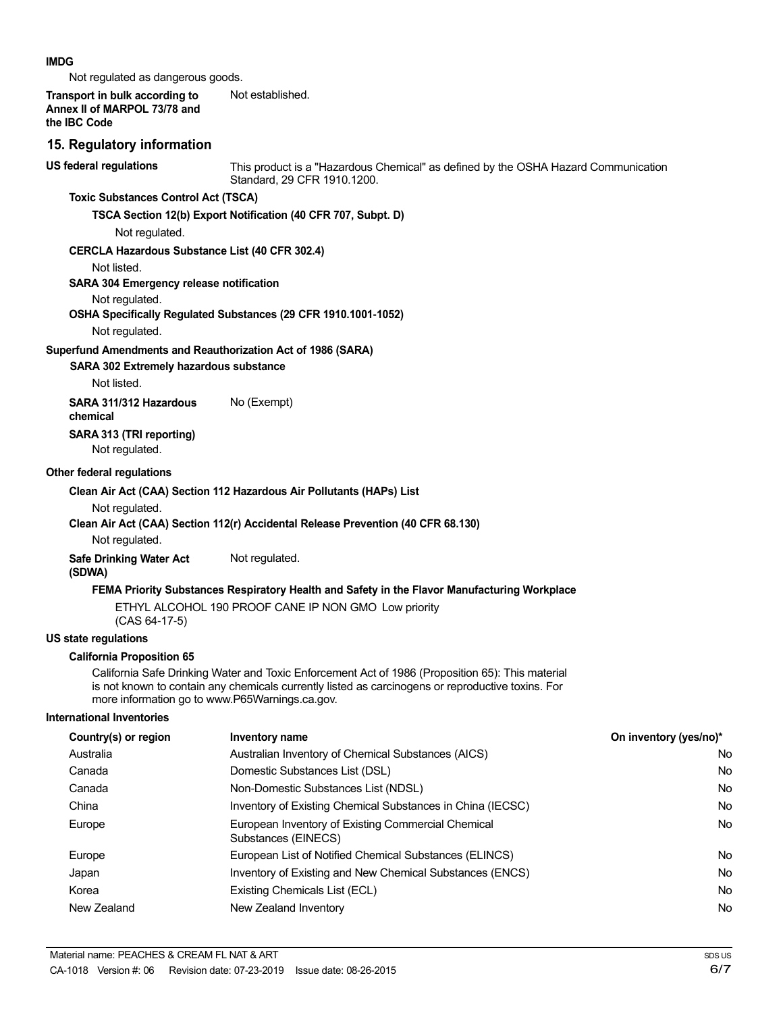#### **IMDG**

Not regulated as dangerous goods.

**Transport in bulk according to Annex II of MARPOL 73/78 and the IBC Code** Not established.

#### **15. Regulatory information**

**US federal regulations**

This product is a "Hazardous Chemical" as defined by the OSHA Hazard Communication Standard, 29 CFR 1910.1200.

#### **Toxic Substances Control Act (TSCA)**

**TSCA Section 12(b) Export Notification (40 CFR 707, Subpt. D)**

Not regulated.

#### **CERCLA Hazardous Substance List (40 CFR 302.4)**

Not listed.

#### **SARA 304 Emergency release notification**

Not regulated.

#### **OSHA Specifically Regulated Substances (29 CFR 1910.1001-1052)**

Not regulated.

#### **Superfund Amendments and Reauthorization Act of 1986 (SARA)**

#### **SARA 302 Extremely hazardous substance**

Not listed.

**SARA 311/312 Hazardous** No (Exempt)

# **SARA 313 (TRI reporting)**

Not regulated.

#### **Other federal regulations**

**chemical**

#### **Clean Air Act (CAA) Section 112 Hazardous Air Pollutants (HAPs) List**

Not regulated.

#### **Clean Air Act (CAA) Section 112(r) Accidental Release Prevention (40 CFR 68.130)**

Not regulated.

#### **Safe Drinking Water Act** Not regulated.

**(SDWA)**

#### **FEMA Priority Substances Respiratory Health and Safety in the Flavor Manufacturing Workplace**

ETHYL ALCOHOL 190 PROOF CANE IP NON GMO Low priority

(CAS 64-17-5)

#### **US state regulations**

#### **California Proposition 65**

California Safe Drinking Water and Toxic Enforcement Act of 1986 (Proposition 65): This material is not known to contain any chemicals currently listed as carcinogens or reproductive toxins. For more information go to www.P65Warnings.ca.gov.

#### **International Inventories**

| Country(s) or region | Inventory name                                                            | On inventory (yes/no)* |
|----------------------|---------------------------------------------------------------------------|------------------------|
| Australia            | Australian Inventory of Chemical Substances (AICS)                        | No.                    |
| Canada               | Domestic Substances List (DSL)                                            | No.                    |
| Canada               | Non-Domestic Substances List (NDSL)                                       | No.                    |
| China                | Inventory of Existing Chemical Substances in China (IECSC)                | No.                    |
| Europe               | European Inventory of Existing Commercial Chemical<br>Substances (EINECS) | No.                    |
| Europe               | European List of Notified Chemical Substances (ELINCS)                    | No.                    |
| Japan                | Inventory of Existing and New Chemical Substances (ENCS)                  | No.                    |
| Korea                | Existing Chemicals List (ECL)                                             | No.                    |
| New Zealand          | New Zealand Inventory                                                     | No.                    |